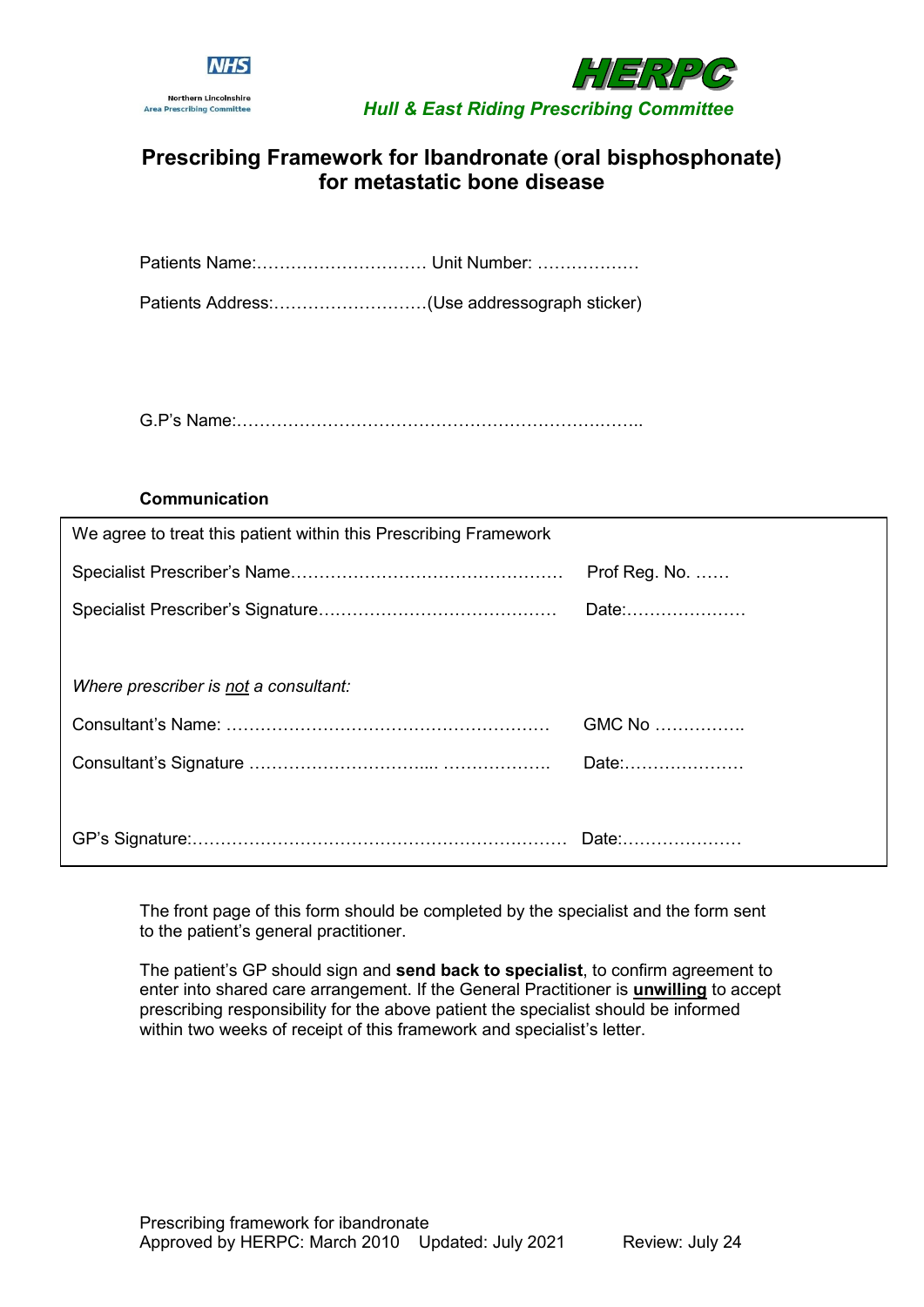



# **Prescribing Framework for Ibandronate (oral bisphosphonate) for metastatic bone disease**

Patients Address:………………………(Use addressograph sticker)

G.P's Name:……………………………………………………….……..

#### **Communication**

| We agree to treat this patient within this Prescribing Framework |                         |
|------------------------------------------------------------------|-------------------------|
|                                                                  | Prof Reg. No. $\dots$ . |
|                                                                  | Date:                   |
|                                                                  |                         |
| Where prescriber is not a consultant:                            |                         |
|                                                                  | GMC No                  |
|                                                                  | Date:                   |
|                                                                  |                         |
|                                                                  |                         |

The front page of this form should be completed by the specialist and the form sent to the patient's general practitioner.

The patient's GP should sign and **send back to specialist**, to confirm agreement to enter into shared care arrangement. If the General Practitioner is **unwilling** to accept prescribing responsibility for the above patient the specialist should be informed within two weeks of receipt of this framework and specialist's letter.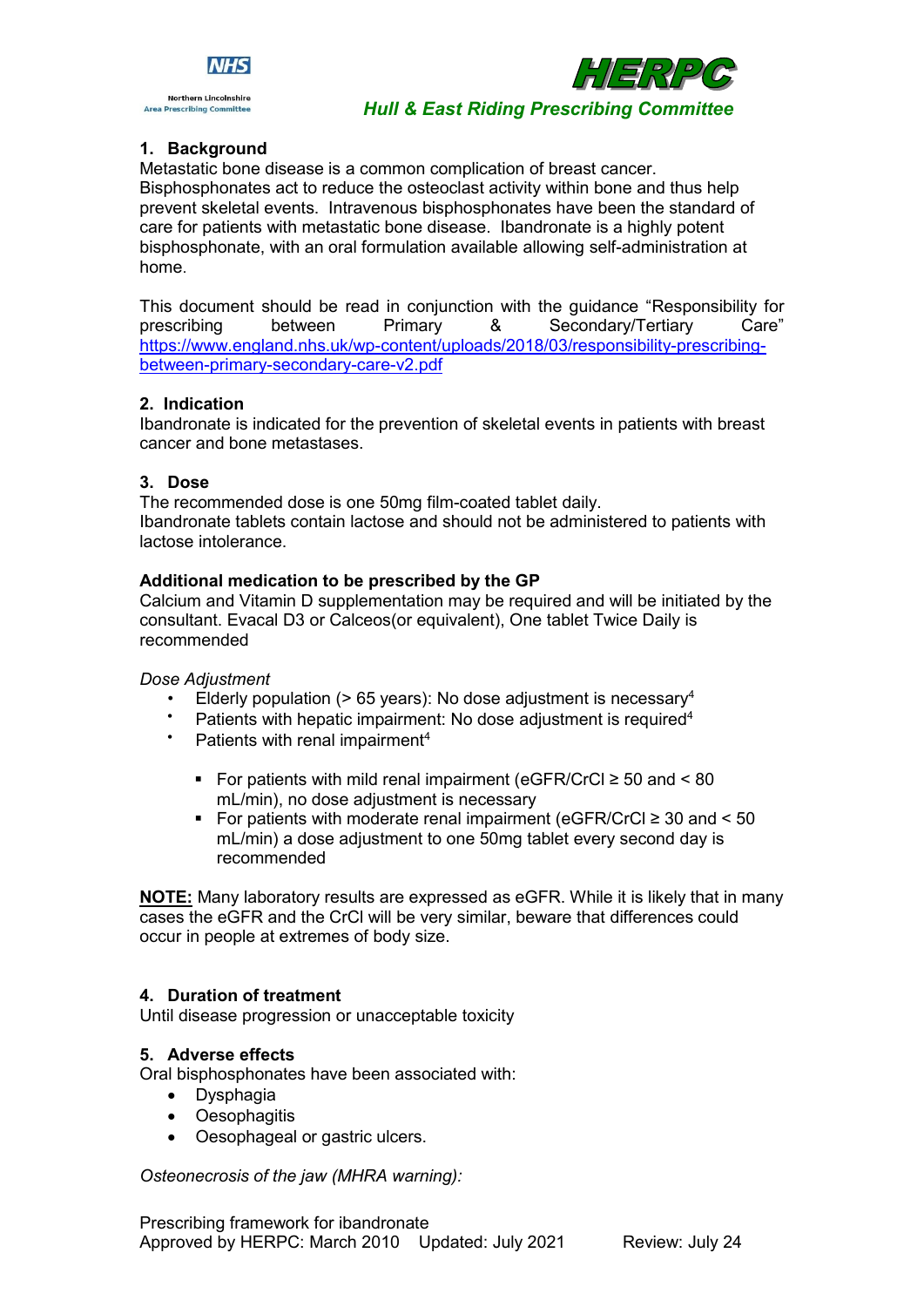



#### *Hull & East Riding Prescribing Committee*

#### **1. Background**

Metastatic bone disease is a common complication of breast cancer. Bisphosphonates act to reduce the osteoclast activity within bone and thus help prevent skeletal events. Intravenous bisphosphonates have been the standard of care for patients with metastatic bone disease. Ibandronate is a highly potent bisphosphonate, with an oral formulation available allowing self-administration at home.

This document should be read in conjunction with the guidance "Responsibility for prescribing between Primary & Secondary/Tertiary Care" [https://www.england.nhs.uk/wp-content/uploads/2018/03/responsibility-prescribing](https://www.england.nhs.uk/wp-content/uploads/2018/03/responsibility-prescribing-between-primary-secondary-care-v2.pdf)[between-primary-secondary-care-v2.pdf](https://www.england.nhs.uk/wp-content/uploads/2018/03/responsibility-prescribing-between-primary-secondary-care-v2.pdf)

#### **2. Indication**

Ibandronate is indicated for the prevention of skeletal events in patients with breast cancer and bone metastases.

#### **3. Dose**

The recommended dose is one 50mg film-coated tablet daily. Ibandronate tablets contain lactose and should not be administered to patients with lactose intolerance.

#### **Additional medication to be prescribed by the GP**

Calcium and Vitamin D supplementation may be required and will be initiated by the consultant. Evacal D3 or Calceos(or equivalent), One tablet Twice Daily is recommended

#### *Dose Adjustment*

- Elderly population ( $> 65$  years): No dose adjustment is necessary<sup>4</sup>
- Patients with hepatic impairment: No dose adjustment is required<sup>4</sup>
- Patients with renal impairment<sup>4</sup>
	- For patients with mild renal impairment (eGFR/CrCl ≥ 50 and < 80 mL/min), no dose adjustment is necessary
	- For patients with moderate renal impairment (eGFR/CrCl  $\geq$  30 and  $\leq$  50 mL/min) a dose adjustment to one 50mg tablet every second day is recommended

**NOTE:** Many laboratory results are expressed as eGFR. While it is likely that in many cases the eGFR and the CrCl will be very similar, beware that differences could occur in people at extremes of body size.

#### **4. Duration of treatment**

Until disease progression or unacceptable toxicity

#### **5. Adverse effects**

Oral bisphosphonates have been associated with:

- Dysphagia
- Oesophagitis
- Oesophageal or gastric ulcers.

*Osteonecrosis of the jaw (MHRA warning):*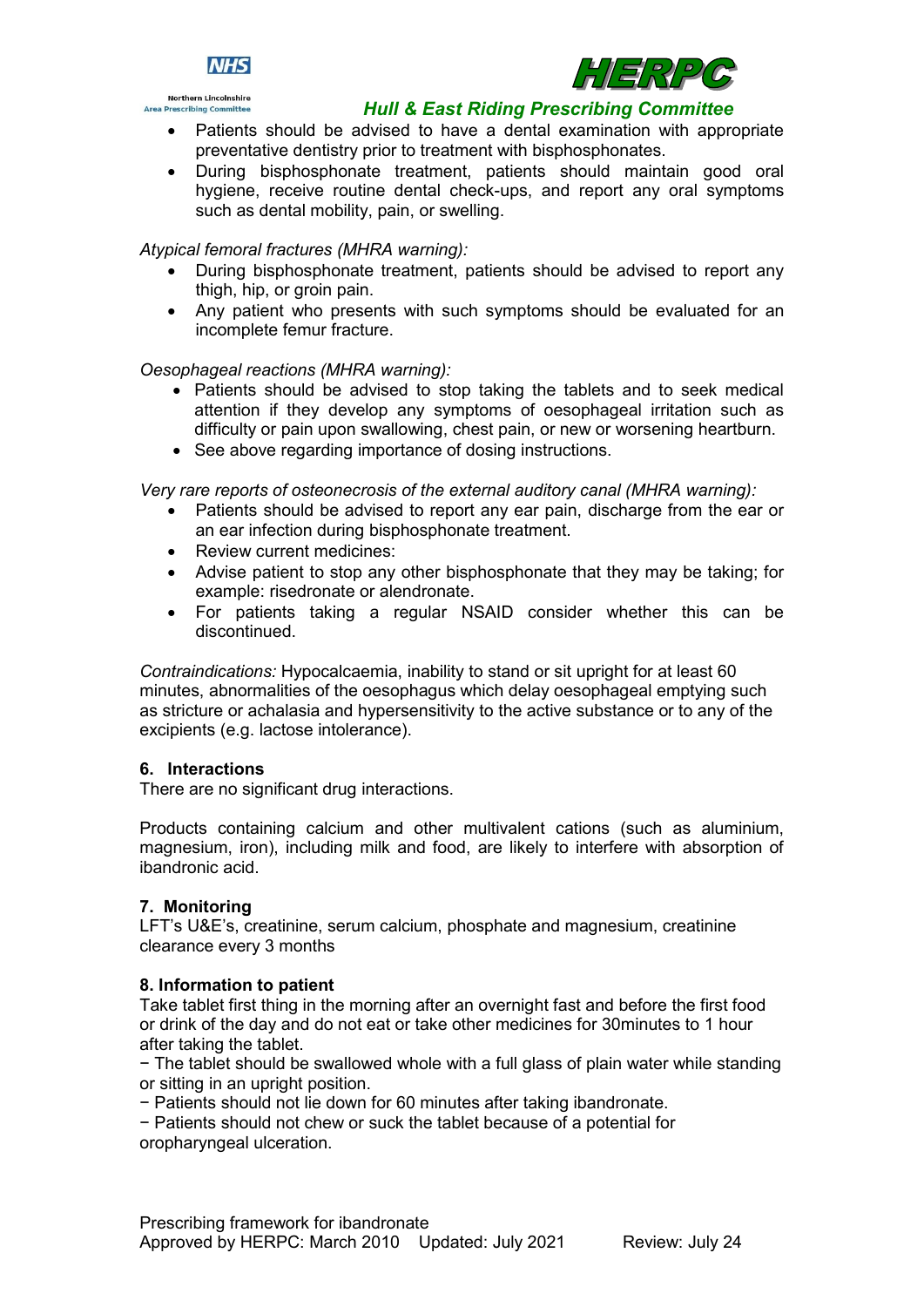





#### *Hull & East Riding Prescribing Committee*

- Patients should be advised to have a dental examination with appropriate preventative dentistry prior to treatment with bisphosphonates.
- During bisphosphonate treatment, patients should maintain good oral hygiene, receive routine dental check-ups, and report any oral symptoms such as dental mobility, pain, or swelling.

#### *Atypical femoral fractures (MHRA warning):*

- During bisphosphonate treatment, patients should be advised to report any thigh, hip, or groin pain.
- Any patient who presents with such symptoms should be evaluated for an incomplete femur fracture.

### *Oesophageal reactions (MHRA warning):*

- Patients should be advised to stop taking the tablets and to seek medical attention if they develop any symptoms of oesophageal irritation such as difficulty or pain upon swallowing, chest pain, or new or worsening heartburn.
- See above regarding importance of dosing instructions.

*Very rare reports of osteonecrosis of the external auditory canal (MHRA warning):*

- Patients should be advised to report any ear pain, discharge from the ear or an ear infection during bisphosphonate treatment.
- Review current medicines:
- Advise patient to stop any other bisphosphonate that they may be taking; for example: risedronate or alendronate.
- For patients taking a regular NSAID consider whether this can be discontinued.

*Contraindications:* Hypocalcaemia, inability to stand or sit upright for at least 60 minutes, abnormalities of the oesophagus which delay oesophageal emptying such as stricture or achalasia and hypersensitivity to the active substance or to any of the excipients (e.g. lactose intolerance).

#### **6. Interactions**

There are no significant drug interactions.

Products containing calcium and other multivalent cations (such as aluminium, magnesium, iron), including milk and food, are likely to interfere with absorption of ibandronic acid.

#### **7. Monitoring**

LFT's U&E's, creatinine, serum calcium, phosphate and magnesium, creatinine clearance every 3 months

#### **8. Information to patient**

Take tablet first thing in the morning after an overnight fast and before the first food or drink of the day and do not eat or take other medicines for 30minutes to 1 hour after taking the tablet.

− The tablet should be swallowed whole with a full glass of plain water while standing or sitting in an upright position.

− Patients should not lie down for 60 minutes after taking ibandronate.

− Patients should not chew or suck the tablet because of a potential for oropharyngeal ulceration.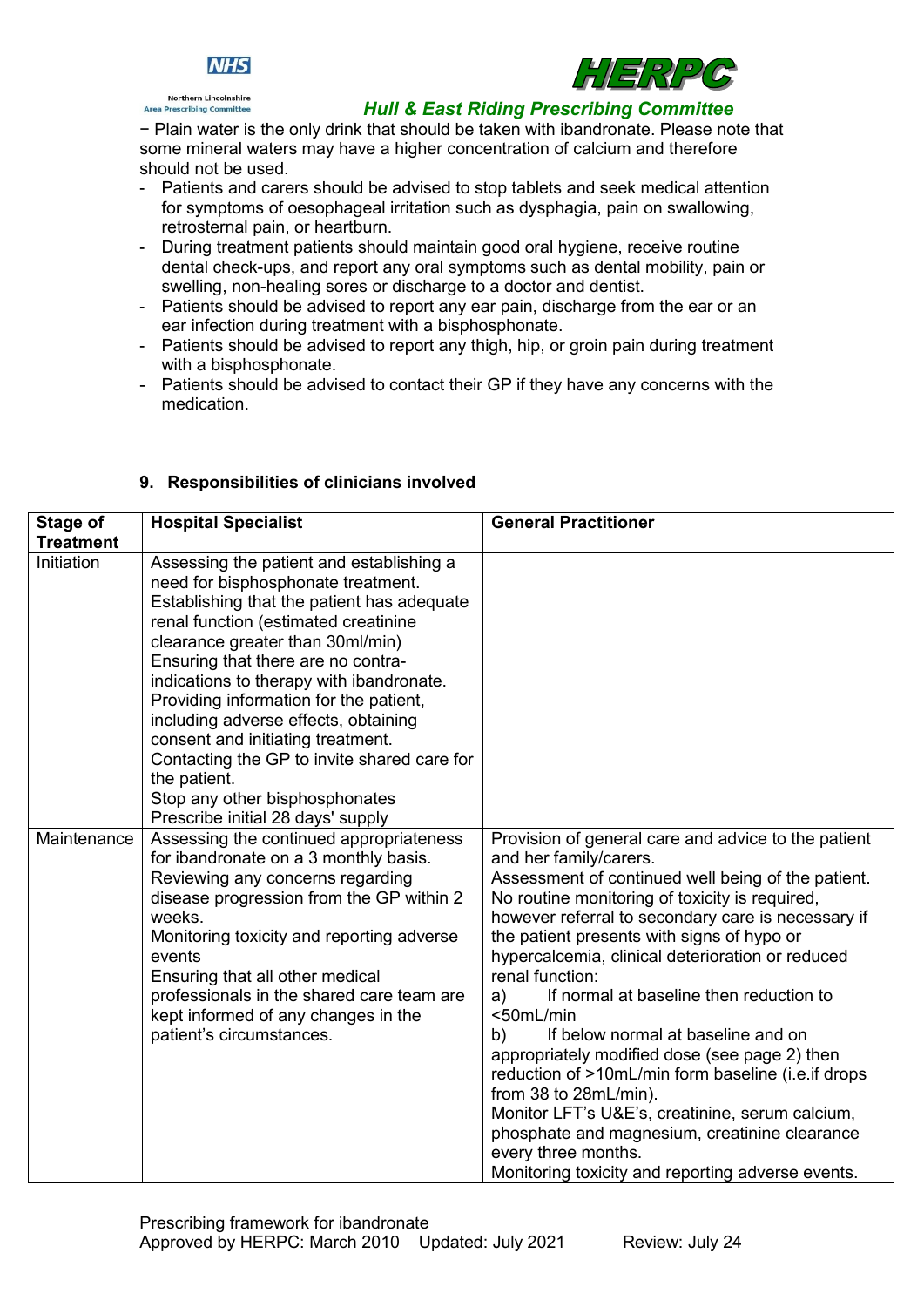





### *Hull & East Riding Prescribing Committee*

− Plain water is the only drink that should be taken with ibandronate. Please note that some mineral waters may have a higher concentration of calcium and therefore should not be used.

- Patients and carers should be advised to stop tablets and seek medical attention for symptoms of oesophageal irritation such as dysphagia, pain on swallowing, retrosternal pain, or heartburn.
- During treatment patients should maintain good oral hygiene, receive routine dental check-ups, and report any oral symptoms such as dental mobility, pain or swelling, non-healing sores or discharge to a doctor and dentist.
- Patients should be advised to report any ear pain, discharge from the ear or an ear infection during treatment with a bisphosphonate.
- Patients should be advised to report any thigh, hip, or groin pain during treatment with a bisphosphonate.
- Patients should be advised to contact their GP if they have any concerns with the medication.

| Stage of         | <b>Hospital Specialist</b>                                                                                                                                                                                                                                                                                                                                                                                                                                                                                                                              | <b>General Practitioner</b>                                                                                                                                                                                                                                                                                                                                                                                                                                                                                                                                                                                                                                                                                                                                                                 |
|------------------|---------------------------------------------------------------------------------------------------------------------------------------------------------------------------------------------------------------------------------------------------------------------------------------------------------------------------------------------------------------------------------------------------------------------------------------------------------------------------------------------------------------------------------------------------------|---------------------------------------------------------------------------------------------------------------------------------------------------------------------------------------------------------------------------------------------------------------------------------------------------------------------------------------------------------------------------------------------------------------------------------------------------------------------------------------------------------------------------------------------------------------------------------------------------------------------------------------------------------------------------------------------------------------------------------------------------------------------------------------------|
| <b>Treatment</b> |                                                                                                                                                                                                                                                                                                                                                                                                                                                                                                                                                         |                                                                                                                                                                                                                                                                                                                                                                                                                                                                                                                                                                                                                                                                                                                                                                                             |
| Initiation       | Assessing the patient and establishing a<br>need for bisphosphonate treatment.<br>Establishing that the patient has adequate<br>renal function (estimated creatinine<br>clearance greater than 30ml/min)<br>Ensuring that there are no contra-<br>indications to therapy with ibandronate.<br>Providing information for the patient,<br>including adverse effects, obtaining<br>consent and initiating treatment.<br>Contacting the GP to invite shared care for<br>the patient.<br>Stop any other bisphosphonates<br>Prescribe initial 28 days' supply |                                                                                                                                                                                                                                                                                                                                                                                                                                                                                                                                                                                                                                                                                                                                                                                             |
| Maintenance      | Assessing the continued appropriateness<br>for ibandronate on a 3 monthly basis.<br>Reviewing any concerns regarding<br>disease progression from the GP within 2<br>weeks.<br>Monitoring toxicity and reporting adverse<br>events<br>Ensuring that all other medical<br>professionals in the shared care team are<br>kept informed of any changes in the<br>patient's circumstances.                                                                                                                                                                    | Provision of general care and advice to the patient<br>and her family/carers.<br>Assessment of continued well being of the patient.<br>No routine monitoring of toxicity is required,<br>however referral to secondary care is necessary if<br>the patient presents with signs of hypo or<br>hypercalcemia, clinical deterioration or reduced<br>renal function:<br>If normal at baseline then reduction to<br>a)<br><50mL/min<br>If below normal at baseline and on<br>b)<br>appropriately modified dose (see page 2) then<br>reduction of >10mL/min form baseline (i.e. if drops<br>from 38 to 28mL/min).<br>Monitor LFT's U&E's, creatinine, serum calcium,<br>phosphate and magnesium, creatinine clearance<br>every three months.<br>Monitoring toxicity and reporting adverse events. |

# **9. Responsibilities of clinicians involved**